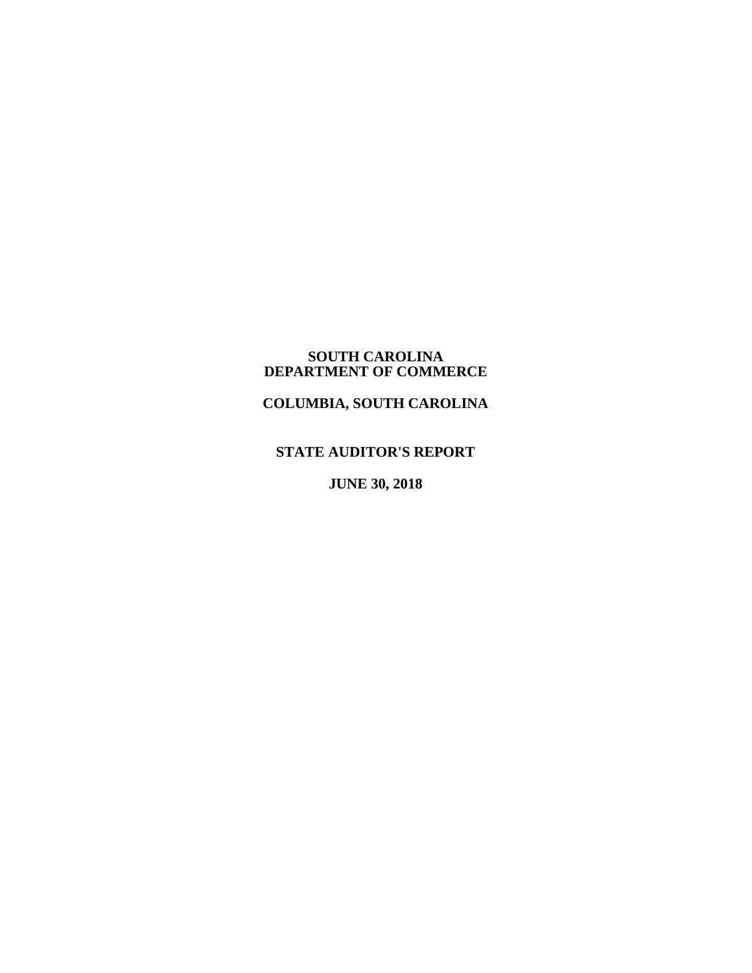#### **SOUTH CAROLINA DEPARTMENT OF COMMERCE**

**COLUMBIA, SOUTH CAROLINA**

# **STATE AUDITOR'S REPORT**

**JUNE 30, 2018**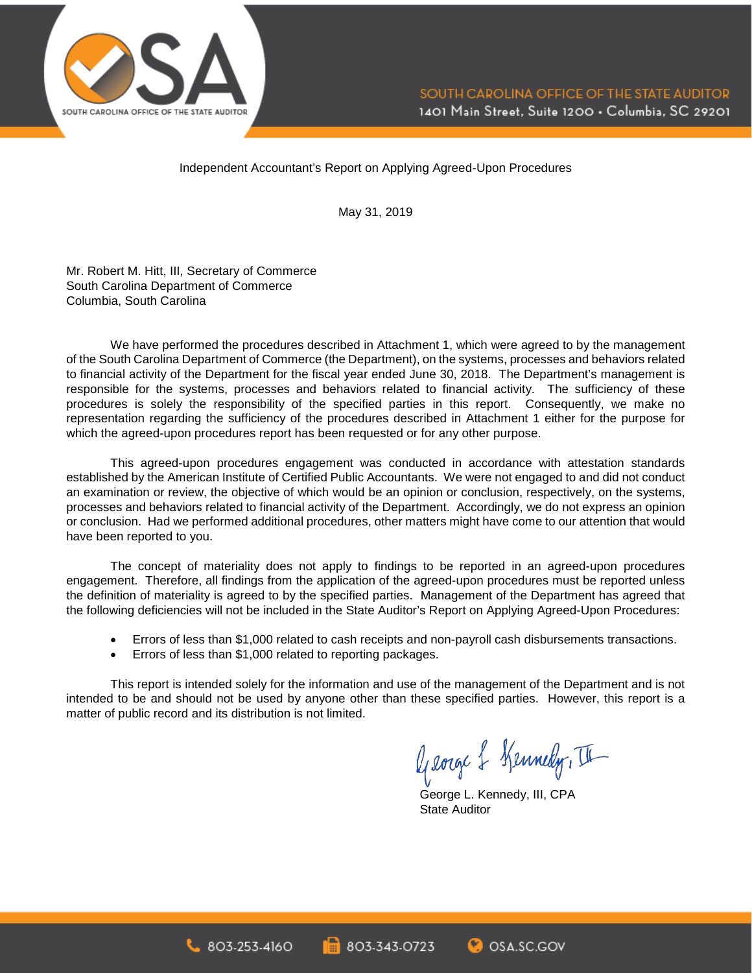

Independent Accountant's Report on Applying Agreed-Upon Procedures

May 31, 2019

Mr. Robert M. Hitt, III, Secretary of Commerce South Carolina Department of Commerce Columbia, South Carolina

We have performed the procedures described in Attachment 1, which were agreed to by the management of the South Carolina Department of Commerce (the Department), on the systems, processes and behaviors related to financial activity of the Department for the fiscal year ended June 30, 2018. The Department's management is responsible for the systems, processes and behaviors related to financial activity. The sufficiency of these procedures is solely the responsibility of the specified parties in this report. Consequently, we make no representation regarding the sufficiency of the procedures described in Attachment 1 either for the purpose for which the agreed-upon procedures report has been requested or for any other purpose.

This agreed-upon procedures engagement was conducted in accordance with attestation standards established by the American Institute of Certified Public Accountants. We were not engaged to and did not conduct an examination or review, the objective of which would be an opinion or conclusion, respectively, on the systems, processes and behaviors related to financial activity of the Department. Accordingly, we do not express an opinion or conclusion. Had we performed additional procedures, other matters might have come to our attention that would have been reported to you.

The concept of materiality does not apply to findings to be reported in an agreed-upon procedures engagement. Therefore, all findings from the application of the agreed-upon procedures must be reported unless the definition of materiality is agreed to by the specified parties. Management of the Department has agreed that the following deficiencies will not be included in the State Auditor's Report on Applying Agreed-Upon Procedures:

- Errors of less than \$1,000 related to cash receipts and non-payroll cash disbursements transactions.
- Errors of less than \$1,000 related to reporting packages.

This report is intended solely for the information and use of the management of the Department and is not intended to be and should not be used by anyone other than these specified parties. However, this report is a matter of public record and its distribution is not limited.

George & Kennedy, II

George L. Kennedy, III, CPA State Auditor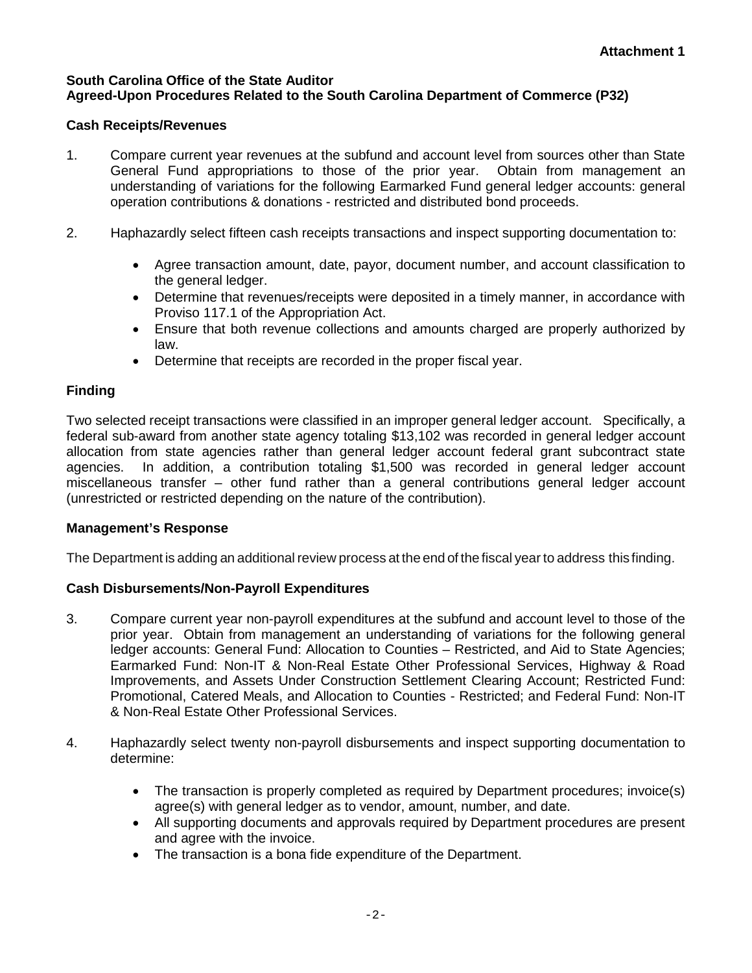## **South Carolina Office of the State Auditor Agreed-Upon Procedures Related to the South Carolina Department of Commerce (P32)**

## **Cash Receipts/Revenues**

- 1. Compare current year revenues at the subfund and account level from sources other than State General Fund appropriations to those of the prior year. Obtain from management an understanding of variations for the following Earmarked Fund general ledger accounts: general operation contributions & donations - restricted and distributed bond proceeds.
- 2. Haphazardly select fifteen cash receipts transactions and inspect supporting documentation to:
	- Agree transaction amount, date, payor, document number, and account classification to the general ledger.
	- Determine that revenues/receipts were deposited in a timely manner, in accordance with Proviso 117.1 of the Appropriation Act.
	- Ensure that both revenue collections and amounts charged are properly authorized by law.
	- Determine that receipts are recorded in the proper fiscal year.

# **Finding**

Two selected receipt transactions were classified in an improper general ledger account. Specifically, a federal sub-award from another state agency totaling \$13,102 was recorded in general ledger account allocation from state agencies rather than general ledger account federal grant subcontract state agencies. In addition, a contribution totaling \$1,500 was recorded in general ledger account miscellaneous transfer – other fund rather than a general contributions general ledger account (unrestricted or restricted depending on the nature of the contribution).

# **Management's Response**

The Department is adding an additional review process at the end of the fiscal year to address this finding.

# **Cash Disbursements/Non-Payroll Expenditures**

- 3. Compare current year non-payroll expenditures at the subfund and account level to those of the prior year. Obtain from management an understanding of variations for the following general ledger accounts: General Fund: Allocation to Counties – Restricted, and Aid to State Agencies; Earmarked Fund: Non-IT & Non-Real Estate Other Professional Services, Highway & Road Improvements, and Assets Under Construction Settlement Clearing Account; Restricted Fund: Promotional, Catered Meals, and Allocation to Counties - Restricted; and Federal Fund: Non-IT & Non-Real Estate Other Professional Services.
- 4. Haphazardly select twenty non-payroll disbursements and inspect supporting documentation to determine:
	- The transaction is properly completed as required by Department procedures; invoice(s) agree(s) with general ledger as to vendor, amount, number, and date.
	- All supporting documents and approvals required by Department procedures are present and agree with the invoice.
	- The transaction is a bona fide expenditure of the Department.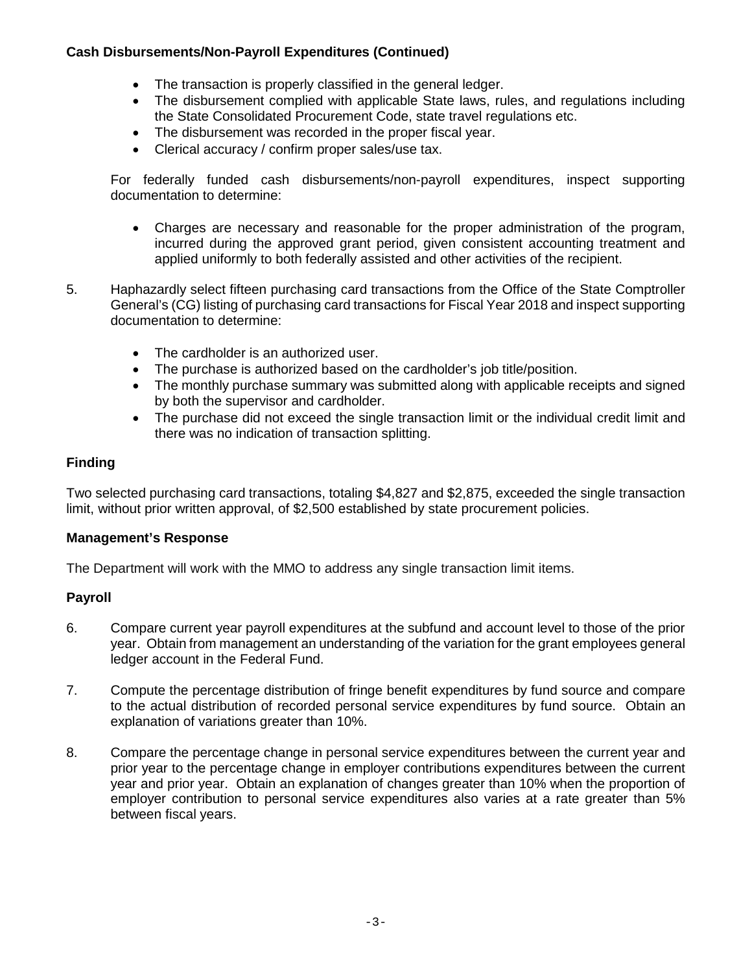## **Cash Disbursements/Non-Payroll Expenditures (Continued)**

- The transaction is properly classified in the general ledger.
- The disbursement complied with applicable State laws, rules, and regulations including the State Consolidated Procurement Code, state travel regulations etc.
- The disbursement was recorded in the proper fiscal year.
- Clerical accuracy / confirm proper sales/use tax.

For federally funded cash disbursements/non-payroll expenditures, inspect supporting documentation to determine:

- Charges are necessary and reasonable for the proper administration of the program, incurred during the approved grant period, given consistent accounting treatment and applied uniformly to both federally assisted and other activities of the recipient.
- 5. Haphazardly select fifteen purchasing card transactions from the Office of the State Comptroller General's (CG) listing of purchasing card transactions for Fiscal Year 2018 and inspect supporting documentation to determine:
	- The cardholder is an authorized user.
	- The purchase is authorized based on the cardholder's job title/position.
	- The monthly purchase summary was submitted along with applicable receipts and signed by both the supervisor and cardholder.
	- The purchase did not exceed the single transaction limit or the individual credit limit and there was no indication of transaction splitting.

## **Finding**

Two selected purchasing card transactions, totaling \$4,827 and \$2,875, exceeded the single transaction limit, without prior written approval, of \$2,500 established by state procurement policies.

## **Management's Response**

The Department will work with the MMO to address any single transaction limit items.

## **Payroll**

- 6. Compare current year payroll expenditures at the subfund and account level to those of the prior year. Obtain from management an understanding of the variation for the grant employees general ledger account in the Federal Fund.
- 7. Compute the percentage distribution of fringe benefit expenditures by fund source and compare to the actual distribution of recorded personal service expenditures by fund source. Obtain an explanation of variations greater than 10%.
- 8. Compare the percentage change in personal service expenditures between the current year and prior year to the percentage change in employer contributions expenditures between the current year and prior year. Obtain an explanation of changes greater than 10% when the proportion of employer contribution to personal service expenditures also varies at a rate greater than 5% between fiscal years.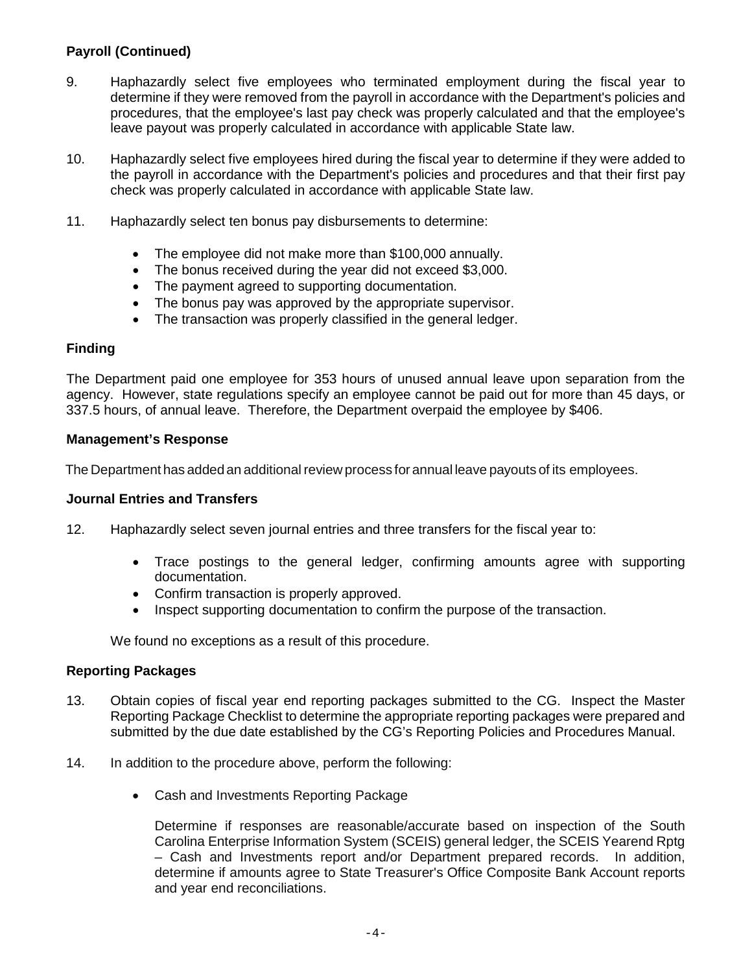# **Payroll (Continued)**

- 9. Haphazardly select five employees who terminated employment during the fiscal year to determine if they were removed from the payroll in accordance with the Department's policies and procedures, that the employee's last pay check was properly calculated and that the employee's leave payout was properly calculated in accordance with applicable State law.
- 10. Haphazardly select five employees hired during the fiscal year to determine if they were added to the payroll in accordance with the Department's policies and procedures and that their first pay check was properly calculated in accordance with applicable State law.
- 11. Haphazardly select ten bonus pay disbursements to determine:
	- The employee did not make more than \$100,000 annually.
	- The bonus received during the year did not exceed \$3,000.
	- The payment agreed to supporting documentation.
	- The bonus pay was approved by the appropriate supervisor.
	- The transaction was properly classified in the general ledger.

## **Finding**

The Department paid one employee for 353 hours of unused annual leave upon separation from the agency. However, state regulations specify an employee cannot be paid out for more than 45 days, or 337.5 hours, of annual leave. Therefore, the Department overpaid the employee by \$406.

### **Management's Response**

The Department has added an additional review process for annual leave payouts of its employees.

#### **Journal Entries and Transfers**

- 12. Haphazardly select seven journal entries and three transfers for the fiscal year to:
	- Trace postings to the general ledger, confirming amounts agree with supporting documentation.
	- Confirm transaction is properly approved.
	- Inspect supporting documentation to confirm the purpose of the transaction.

We found no exceptions as a result of this procedure.

#### **Reporting Packages**

- 13. Obtain copies of fiscal year end reporting packages submitted to the CG. Inspect the Master Reporting Package Checklist to determine the appropriate reporting packages were prepared and submitted by the due date established by the CG's Reporting Policies and Procedures Manual.
- 14. In addition to the procedure above, perform the following:
	- Cash and Investments Reporting Package

Determine if responses are reasonable/accurate based on inspection of the South Carolina Enterprise Information System (SCEIS) general ledger, the SCEIS Yearend Rptg – Cash and Investments report and/or Department prepared records. In addition, determine if amounts agree to State Treasurer's Office Composite Bank Account reports and year end reconciliations.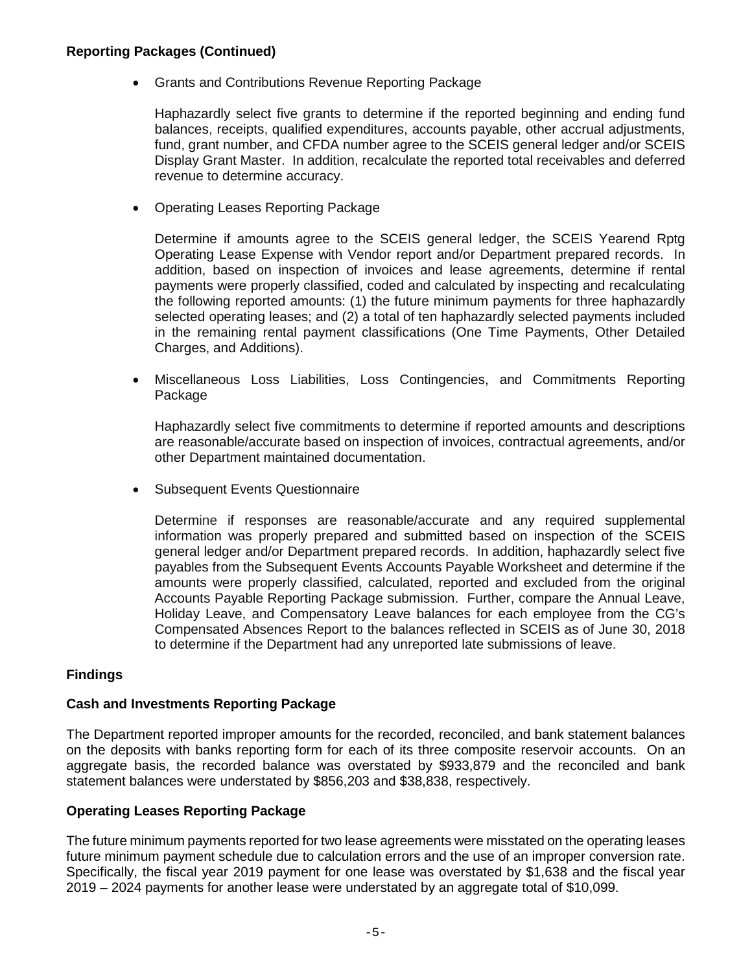## **Reporting Packages (Continued)**

• Grants and Contributions Revenue Reporting Package

Haphazardly select five grants to determine if the reported beginning and ending fund balances, receipts, qualified expenditures, accounts payable, other accrual adjustments, fund, grant number, and CFDA number agree to the SCEIS general ledger and/or SCEIS Display Grant Master. In addition, recalculate the reported total receivables and deferred revenue to determine accuracy.

• Operating Leases Reporting Package

Determine if amounts agree to the SCEIS general ledger, the SCEIS Yearend Rptg Operating Lease Expense with Vendor report and/or Department prepared records. In addition, based on inspection of invoices and lease agreements, determine if rental payments were properly classified, coded and calculated by inspecting and recalculating the following reported amounts: (1) the future minimum payments for three haphazardly selected operating leases; and (2) a total of ten haphazardly selected payments included in the remaining rental payment classifications (One Time Payments, Other Detailed Charges, and Additions).

• Miscellaneous Loss Liabilities, Loss Contingencies, and Commitments Reporting Package

Haphazardly select five commitments to determine if reported amounts and descriptions are reasonable/accurate based on inspection of invoices, contractual agreements, and/or other Department maintained documentation.

• Subsequent Events Questionnaire

Determine if responses are reasonable/accurate and any required supplemental information was properly prepared and submitted based on inspection of the SCEIS general ledger and/or Department prepared records. In addition, haphazardly select five payables from the Subsequent Events Accounts Payable Worksheet and determine if the amounts were properly classified, calculated, reported and excluded from the original Accounts Payable Reporting Package submission. Further, compare the Annual Leave, Holiday Leave, and Compensatory Leave balances for each employee from the CG's Compensated Absences Report to the balances reflected in SCEIS as of June 30, 2018 to determine if the Department had any unreported late submissions of leave.

## **Findings**

#### **Cash and Investments Reporting Package**

The Department reported improper amounts for the recorded, reconciled, and bank statement balances on the deposits with banks reporting form for each of its three composite reservoir accounts. On an aggregate basis, the recorded balance was overstated by \$933,879 and the reconciled and bank statement balances were understated by \$856,203 and \$38,838, respectively.

#### **Operating Leases Reporting Package**

The future minimum payments reported for two lease agreements were misstated on the operating leases future minimum payment schedule due to calculation errors and the use of an improper conversion rate. Specifically, the fiscal year 2019 payment for one lease was overstated by \$1,638 and the fiscal year 2019 – 2024 payments for another lease were understated by an aggregate total of \$10,099.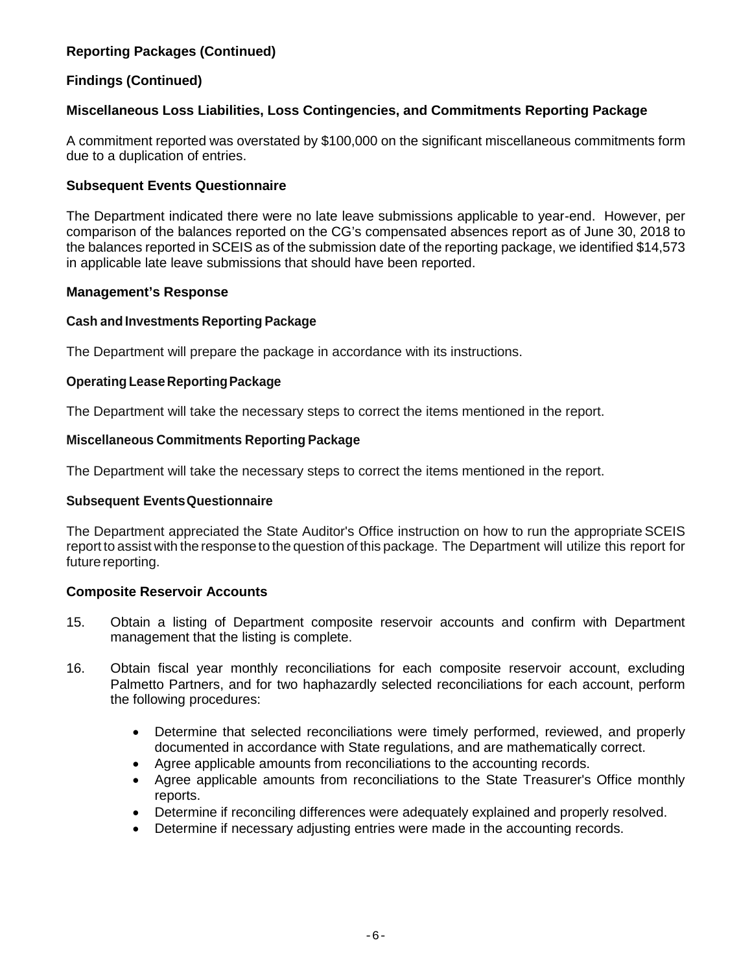# **Reporting Packages (Continued)**

## **Findings (Continued)**

## **Miscellaneous Loss Liabilities, Loss Contingencies, and Commitments Reporting Package**

A commitment reported was overstated by \$100,000 on the significant miscellaneous commitments form due to a duplication of entries.

### **Subsequent Events Questionnaire**

The Department indicated there were no late leave submissions applicable to year-end. However, per comparison of the balances reported on the CG's compensated absences report as of June 30, 2018 to the balances reported in SCEIS as of the submission date of the reporting package, we identified \$14,573 in applicable late leave submissions that should have been reported.

#### **Management's Response**

### **Cash and Investments Reporting Package**

The Department will prepare the package in accordance with its instructions.

### **Operating Lease Reporting Package**

The Department will take the necessary steps to correct the items mentioned in the report.

### **Miscellaneous Commitments Reporting Package**

The Department will take the necessary steps to correct the items mentioned in the report.

#### **Subsequent Events Questionnaire**

The Department appreciated the State Auditor's Office instruction on how to run the appropriate SCEIS report to assist with the response to the question of this package. The Department will utilize this report for future reporting.

#### **Composite Reservoir Accounts**

- 15. Obtain a listing of Department composite reservoir accounts and confirm with Department management that the listing is complete.
- 16. Obtain fiscal year monthly reconciliations for each composite reservoir account, excluding Palmetto Partners, and for two haphazardly selected reconciliations for each account, perform the following procedures:
	- Determine that selected reconciliations were timely performed, reviewed, and properly documented in accordance with State regulations, and are mathematically correct.
	- Agree applicable amounts from reconciliations to the accounting records.
	- Agree applicable amounts from reconciliations to the State Treasurer's Office monthly reports.
	- Determine if reconciling differences were adequately explained and properly resolved.
	- Determine if necessary adjusting entries were made in the accounting records.